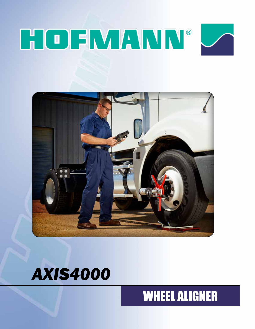# HOFMANN®







## WHEEL ALIGNER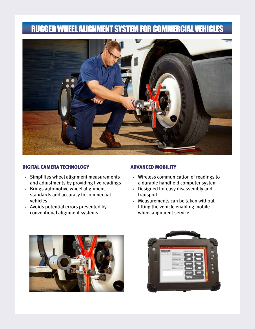## RUGGED WHEEL ALIGNMENT SYSTEM FOR COMMERCIAL VEHICLES



#### DIGITAL CAMERA TECHNOLOGY ADVANCED MOBILITY

- Simplifies wheel alignment measurements and adjustments by providing live readings
- Brings automotive wheel alignment standards and accuracy to commercial vehicles
- Avoids potential errors presented by conventional alignment systems

- Wireless communication of readings to a durable handheld computer system
- Designed for easy disassembly and transport
- Measurements can be taken without lifting the vehicle enabling mobile wheel alignment service



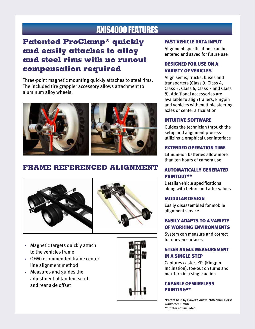## AXIS4000 FEATURES

## **Patented ProClamp\* quickly and easily attaches to alloy and steel rims with no runout compensation required**

Three-point magnetic mounting quickly attaches to steel rims. The included tire grappler accessory allows attachment to aluminum alloy wheels.



### **FRAME REFERENCED ALIGNMENT**





- Magnetic targets quickly attach to the vehicles frame
- OEM recommended frame center line alignment method
- Measures and guides the adjustment of tandem scrub and rear axle offset



#### FAST VEHICLE DATA INPUT

Alignment specifications can be entered and saved for future use

#### DESIGNED FOR USE ON A VARIETY OF VEHICLES

Align semis, trucks, buses and transporters (Class 3, Class 4, Class 5, Class 6, Class 7 and Class 8). Additional accessories are available to align trailers, kingpin and vehicles with multiple steering axles or center articulation

#### INTUITIVE SOFTWARE

Guides the technician through the setup and alignment process utilizing a graphical user interface

#### EXTENDED OPERATION TIME

Lithium-ion batteries allow more than ten hours of camera use

#### AUTOMATICALLY GENERATED PRINTOUT\*\*

Details vehicle specifications along with before and after values

#### MODULAR DESIGN

Easily disassembled for mobile alignment service

#### EASILY ADAPTS TO A VARIETY OF WORKING ENVIRONMENTS

System can measure and correct for uneven surfaces

#### STEER ANGLE MEASUREMENT IN A SINGLE STEP

Captures caster, KPI (Kingpin Inclination), toe-out on turns and max turn in a single action

#### CAPABLE OF WIRELESS PRINTING\*\*

\*Patent held by Haweka Auswuchttechnik Horst Warkotsch Gmbh \*\*Printer not included